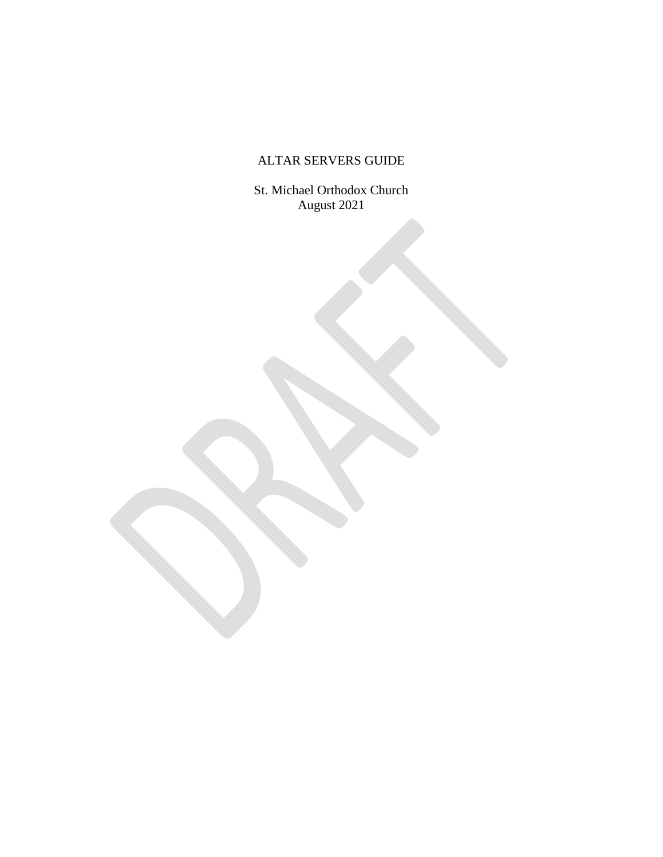# ALTAR SERVERS GUIDE

St. Michael Orthodox Church August 2021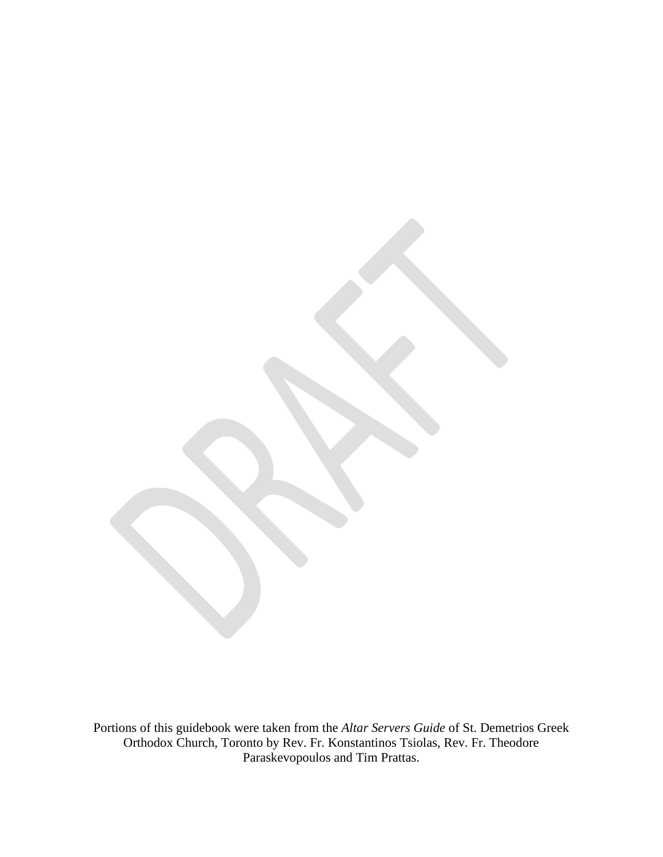Portions of this guidebook were taken from the *Altar Servers Guide* of St. Demetrios Greek Orthodox Church, Toronto by Rev. Fr. Konstantinos Tsiolas, Rev. Fr. Theodore Paraskevopoulos and Tim Prattas.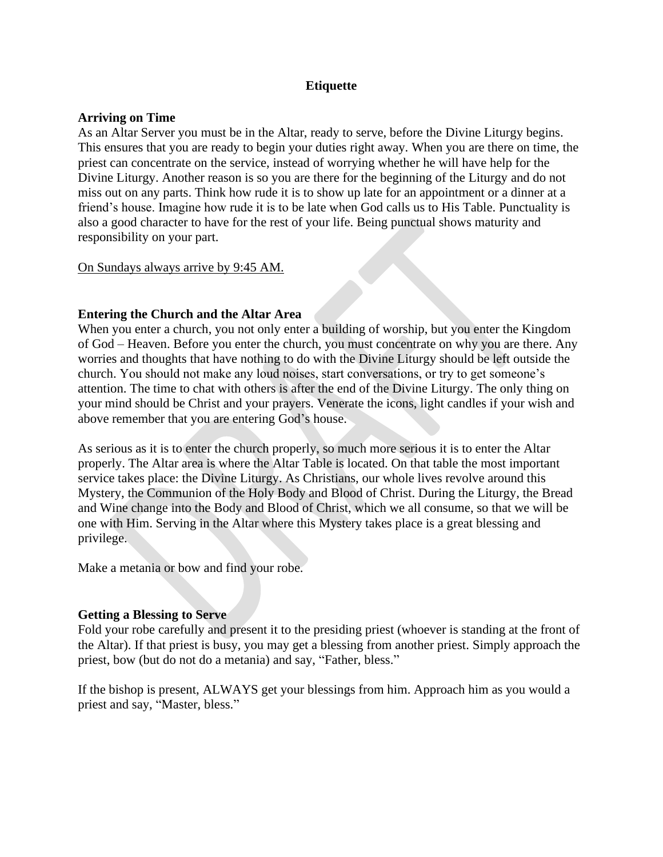# **Etiquette**

# **Arriving on Time**

As an Altar Server you must be in the Altar, ready to serve, before the Divine Liturgy begins. This ensures that you are ready to begin your duties right away. When you are there on time, the priest can concentrate on the service, instead of worrying whether he will have help for the Divine Liturgy. Another reason is so you are there for the beginning of the Liturgy and do not miss out on any parts. Think how rude it is to show up late for an appointment or a dinner at a friend's house. Imagine how rude it is to be late when God calls us to His Table. Punctuality is also a good character to have for the rest of your life. Being punctual shows maturity and responsibility on your part.

# On Sundays always arrive by 9:45 AM.

# **Entering the Church and the Altar Area**

When you enter a church, you not only enter a building of worship, but you enter the Kingdom of God – Heaven. Before you enter the church, you must concentrate on why you are there. Any worries and thoughts that have nothing to do with the Divine Liturgy should be left outside the church. You should not make any loud noises, start conversations, or try to get someone's attention. The time to chat with others is after the end of the Divine Liturgy. The only thing on your mind should be Christ and your prayers. Venerate the icons, light candles if your wish and above remember that you are entering God's house.

As serious as it is to enter the church properly, so much more serious it is to enter the Altar properly. The Altar area is where the Altar Table is located. On that table the most important service takes place: the Divine Liturgy. As Christians, our whole lives revolve around this Mystery, the Communion of the Holy Body and Blood of Christ. During the Liturgy, the Bread and Wine change into the Body and Blood of Christ, which we all consume, so that we will be one with Him. Serving in the Altar where this Mystery takes place is a great blessing and privilege.

Make a metania or bow and find your robe.

# **Getting a Blessing to Serve**

Fold your robe carefully and present it to the presiding priest (whoever is standing at the front of the Altar). If that priest is busy, you may get a blessing from another priest. Simply approach the priest, bow (but do not do a metania) and say, "Father, bless."

If the bishop is present, ALWAYS get your blessings from him. Approach him as you would a priest and say, "Master, bless."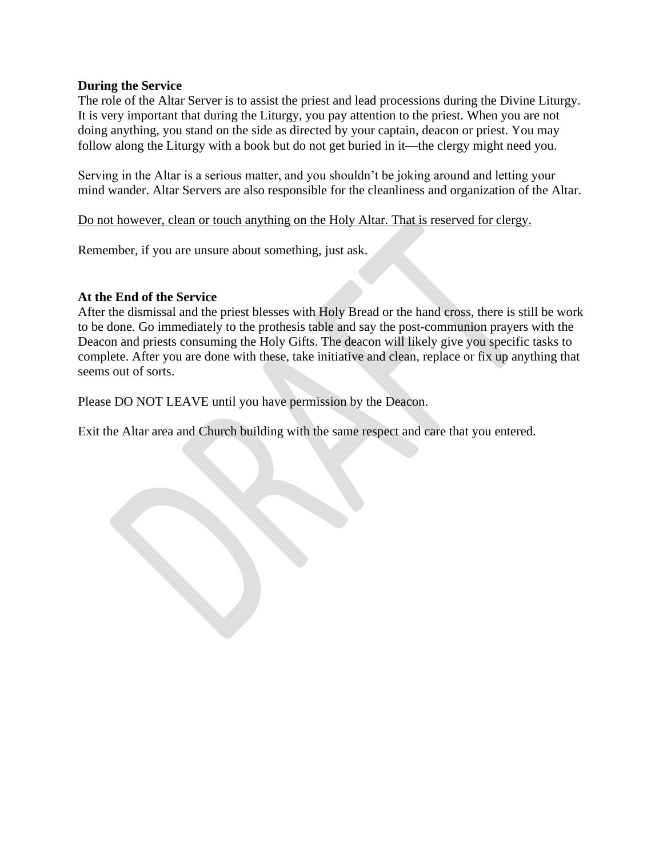# **During the Service**

The role of the Altar Server is to assist the priest and lead processions during the Divine Liturgy. It is very important that during the Liturgy, you pay attention to the priest. When you are not doing anything, you stand on the side as directed by your captain, deacon or priest. You may follow along the Liturgy with a book but do not get buried in it—the clergy might need you.

Serving in the Altar is a serious matter, and you shouldn't be joking around and letting your mind wander. Altar Servers are also responsible for the cleanliness and organization of the Altar.

# Do not however, clean or touch anything on the Holy Altar. That is reserved for clergy.

Remember, if you are unsure about something, just ask.

# **At the End of the Service**

After the dismissal and the priest blesses with Holy Bread or the hand cross, there is still be work to be done. Go immediately to the prothesis table and say the post-communion prayers with the Deacon and priests consuming the Holy Gifts. The deacon will likely give you specific tasks to complete. After you are done with these, take initiative and clean, replace or fix up anything that seems out of sorts.

Please DO NOT LEAVE until you have permission by the Deacon.

Exit the Altar area and Church building with the same respect and care that you entered.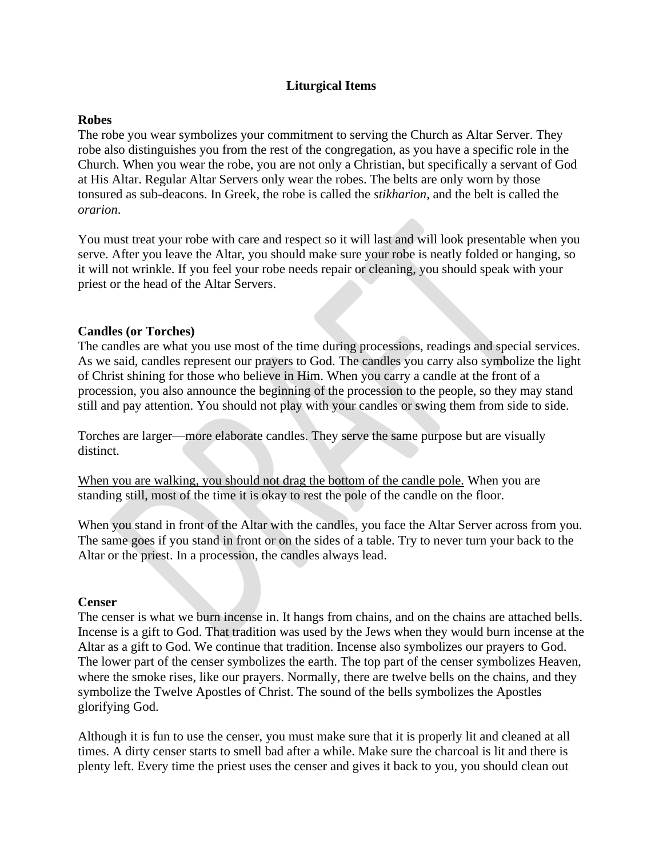# **Liturgical Items**

### **Robes**

The robe you wear symbolizes your commitment to serving the Church as Altar Server. They robe also distinguishes you from the rest of the congregation, as you have a specific role in the Church. When you wear the robe, you are not only a Christian, but specifically a servant of God at His Altar. Regular Altar Servers only wear the robes. The belts are only worn by those tonsured as sub-deacons. In Greek, the robe is called the *stikharion*, and the belt is called the *orarion*.

You must treat your robe with care and respect so it will last and will look presentable when you serve. After you leave the Altar, you should make sure your robe is neatly folded or hanging, so it will not wrinkle. If you feel your robe needs repair or cleaning, you should speak with your priest or the head of the Altar Servers.

#### **Candles (or Torches)**

The candles are what you use most of the time during processions, readings and special services. As we said, candles represent our prayers to God. The candles you carry also symbolize the light of Christ shining for those who believe in Him. When you carry a candle at the front of a procession, you also announce the beginning of the procession to the people, so they may stand still and pay attention. You should not play with your candles or swing them from side to side.

Torches are larger—more elaborate candles. They serve the same purpose but are visually distinct.

When you are walking, you should not drag the bottom of the candle pole. When you are standing still, most of the time it is okay to rest the pole of the candle on the floor.

When you stand in front of the Altar with the candles, you face the Altar Server across from you. The same goes if you stand in front or on the sides of a table. Try to never turn your back to the Altar or the priest. In a procession, the candles always lead.

#### **Censer**

The censer is what we burn incense in. It hangs from chains, and on the chains are attached bells. Incense is a gift to God. That tradition was used by the Jews when they would burn incense at the Altar as a gift to God. We continue that tradition. Incense also symbolizes our prayers to God. The lower part of the censer symbolizes the earth. The top part of the censer symbolizes Heaven, where the smoke rises, like our prayers. Normally, there are twelve bells on the chains, and they symbolize the Twelve Apostles of Christ. The sound of the bells symbolizes the Apostles glorifying God.

Although it is fun to use the censer, you must make sure that it is properly lit and cleaned at all times. A dirty censer starts to smell bad after a while. Make sure the charcoal is lit and there is plenty left. Every time the priest uses the censer and gives it back to you, you should clean out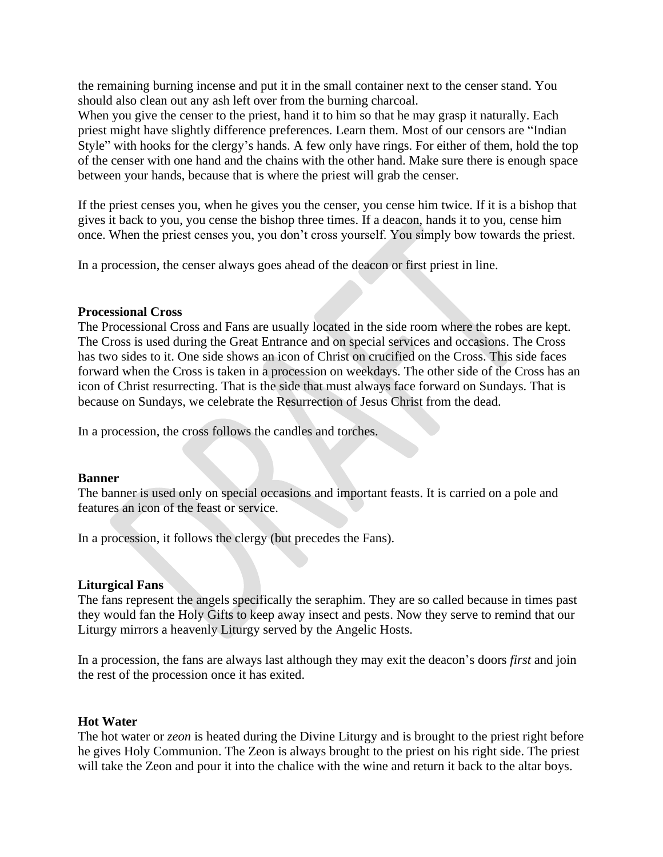the remaining burning incense and put it in the small container next to the censer stand. You should also clean out any ash left over from the burning charcoal.

When you give the censer to the priest, hand it to him so that he may grasp it naturally. Each priest might have slightly difference preferences. Learn them. Most of our censors are "Indian Style" with hooks for the clergy's hands. A few only have rings. For either of them, hold the top of the censer with one hand and the chains with the other hand. Make sure there is enough space between your hands, because that is where the priest will grab the censer.

If the priest censes you, when he gives you the censer, you cense him twice. If it is a bishop that gives it back to you, you cense the bishop three times. If a deacon, hands it to you, cense him once. When the priest censes you, you don't cross yourself. You simply bow towards the priest.

In a procession, the censer always goes ahead of the deacon or first priest in line.

#### **Processional Cross**

The Processional Cross and Fans are usually located in the side room where the robes are kept. The Cross is used during the Great Entrance and on special services and occasions. The Cross has two sides to it. One side shows an icon of Christ on crucified on the Cross. This side faces forward when the Cross is taken in a procession on weekdays. The other side of the Cross has an icon of Christ resurrecting. That is the side that must always face forward on Sundays. That is because on Sundays, we celebrate the Resurrection of Jesus Christ from the dead.

In a procession, the cross follows the candles and torches.

#### **Banner**

The banner is used only on special occasions and important feasts. It is carried on a pole and features an icon of the feast or service.

In a procession, it follows the clergy (but precedes the Fans).

# **Liturgical Fans**

The fans represent the angels specifically the seraphim. They are so called because in times past they would fan the Holy Gifts to keep away insect and pests. Now they serve to remind that our Liturgy mirrors a heavenly Liturgy served by the Angelic Hosts.

In a procession, the fans are always last although they may exit the deacon's doors *first* and join the rest of the procession once it has exited.

# **Hot Water**

The hot water or *zeon* is heated during the Divine Liturgy and is brought to the priest right before he gives Holy Communion. The Zeon is always brought to the priest on his right side. The priest will take the Zeon and pour it into the chalice with the wine and return it back to the altar boys.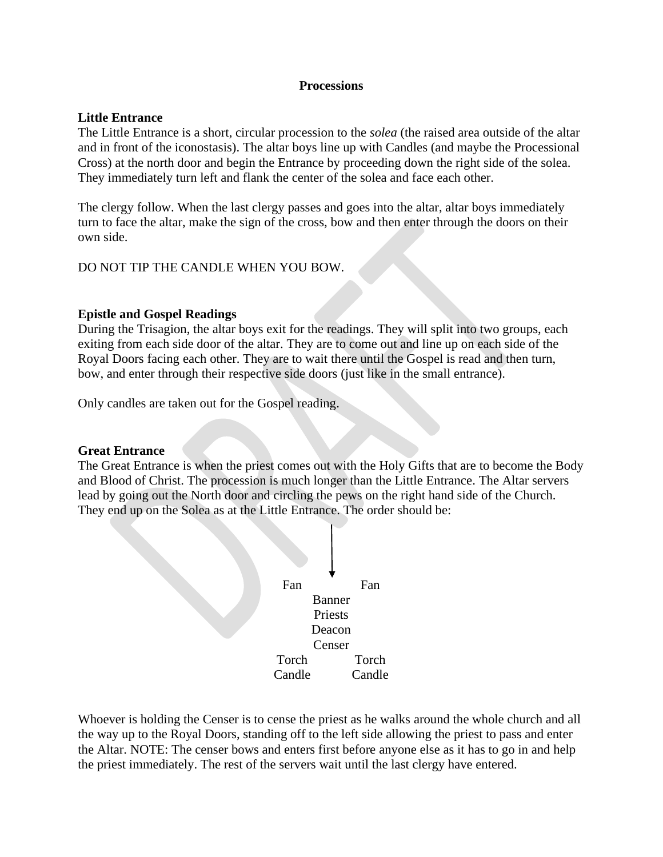# **Processions**

# **Little Entrance**

The Little Entrance is a short, circular procession to the *solea* (the raised area outside of the altar and in front of the iconostasis). The altar boys line up with Candles (and maybe the Processional Cross) at the north door and begin the Entrance by proceeding down the right side of the solea. They immediately turn left and flank the center of the solea and face each other.

The clergy follow. When the last clergy passes and goes into the altar, altar boys immediately turn to face the altar, make the sign of the cross, bow and then enter through the doors on their own side.

DO NOT TIP THE CANDLE WHEN YOU BOW.

# **Epistle and Gospel Readings**

During the Trisagion, the altar boys exit for the readings. They will split into two groups, each exiting from each side door of the altar. They are to come out and line up on each side of the Royal Doors facing each other. They are to wait there until the Gospel is read and then turn, bow, and enter through their respective side doors (just like in the small entrance).

Only candles are taken out for the Gospel reading.

#### **Great Entrance**

The Great Entrance is when the priest comes out with the Holy Gifts that are to become the Body and Blood of Christ. The procession is much longer than the Little Entrance. The Altar servers lead by going out the North door and circling the pews on the right hand side of the Church. They end up on the Solea as at the Little Entrance. The order should be:



Whoever is holding the Censer is to cense the priest as he walks around the whole church and all the way up to the Royal Doors, standing off to the left side allowing the priest to pass and enter the Altar. NOTE: The censer bows and enters first before anyone else as it has to go in and help the priest immediately. The rest of the servers wait until the last clergy have entered.